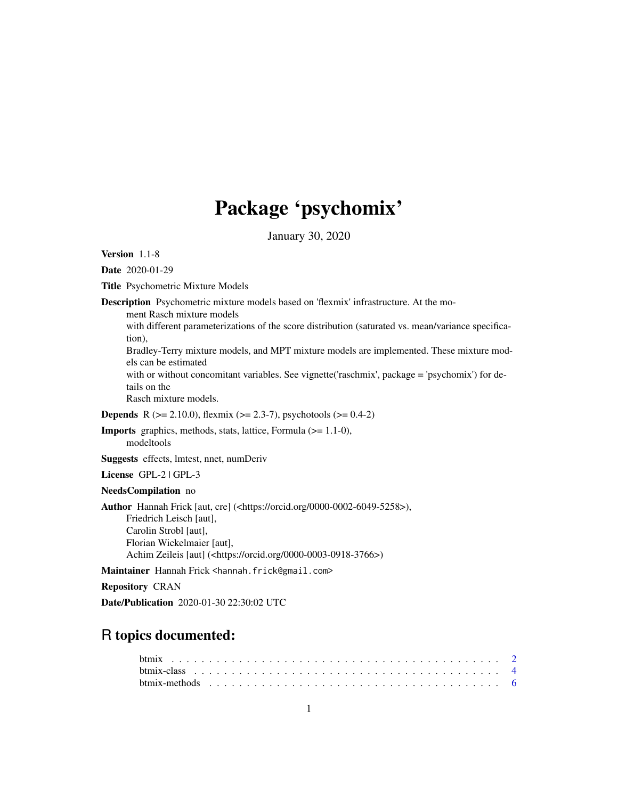## Package 'psychomix'

January 30, 2020

<span id="page-0-0"></span>Version 1.1-8

Date 2020-01-29

Title Psychometric Mixture Models

Description Psychometric mixture models based on 'flexmix' infrastructure. At the mo-

ment Rasch mixture models

with different parameterizations of the score distribution (saturated vs. mean/variance specification),

Bradley-Terry mixture models, and MPT mixture models are implemented. These mixture models can be estimated

with or without concomitant variables. See vignette('raschmix', package = 'psychomix') for details on the

Rasch mixture models.

**Depends** R ( $>= 2.10.0$ ), flexmix ( $>= 2.3-7$ ), psychotools ( $>= 0.4-2$ )

Imports graphics, methods, stats, lattice, Formula (>= 1.1-0), modeltools

Suggests effects, lmtest, nnet, numDeriv

License GPL-2 | GPL-3

NeedsCompilation no

Author Hannah Frick [aut, cre] (<https://orcid.org/0000-0002-6049-5258>), Friedrich Leisch [aut], Carolin Strobl [aut], Florian Wickelmaier [aut], Achim Zeileis [aut] (<https://orcid.org/0000-0003-0918-3766>)

Maintainer Hannah Frick <hannah.frick@gmail.com>

Repository CRAN

Date/Publication 2020-01-30 22:30:02 UTC

## R topics documented: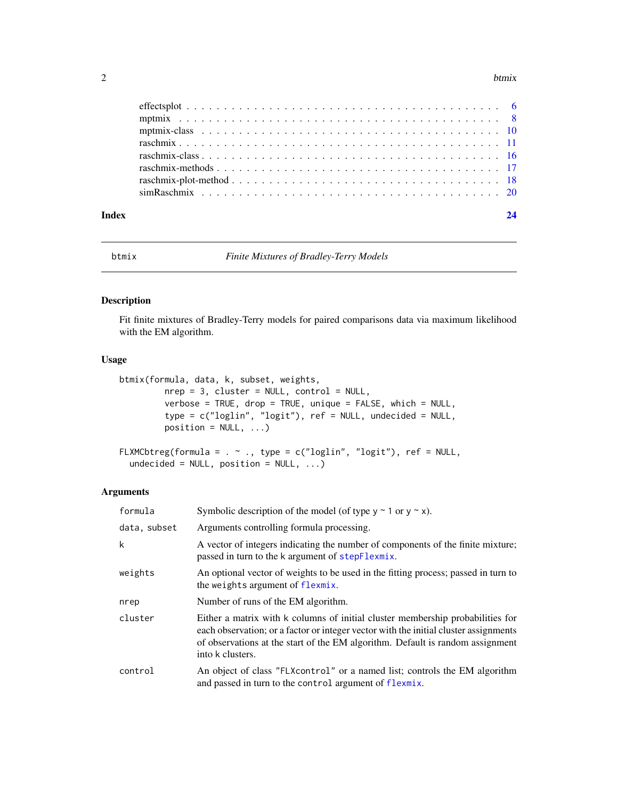#### <span id="page-1-0"></span> $2$  btmix

| Index | 24 |
|-------|----|

<span id="page-1-1"></span>

btmix *Finite Mixtures of Bradley-Terry Models*

#### Description

Fit finite mixtures of Bradley-Terry models for paired comparisons data via maximum likelihood with the EM algorithm.

#### Usage

```
btmix(formula, data, k, subset, weights,
         nrep = 3, cluster = NULL, control = NULL,
         verbose = TRUE, drop = TRUE, unique = FALSE, which = NULL,
         type = c("loglin", "logit"), ref = NULL, undecided = NULL,
         position = NULL, ...)FLXMCbtreg(formula = . ~ ~ \sim ., type = c("loglin", "logit"), ref = NULL,
```

```
undecided = NULL, position = NULL, ...)
```

| formula      | Symbolic description of the model (of type $y \sim 1$ or $y \sim x$ ).                                                                                                                                                                                                       |
|--------------|------------------------------------------------------------------------------------------------------------------------------------------------------------------------------------------------------------------------------------------------------------------------------|
| data, subset | Arguments controlling formula processing.                                                                                                                                                                                                                                    |
| k            | A vector of integers indicating the number of components of the finite mixture;<br>passed in turn to the k argument of stepFlexmix.                                                                                                                                          |
| weights      | An optional vector of weights to be used in the fitting process; passed in turn to<br>the weights argument of flexmix.                                                                                                                                                       |
| nrep         | Number of runs of the EM algorithm.                                                                                                                                                                                                                                          |
| cluster      | Either a matrix with k columns of initial cluster membership probabilities for<br>each observation; or a factor or integer vector with the initial cluster assignments<br>of observations at the start of the EM algorithm. Default is random assignment<br>into k clusters. |
| control      | An object of class "FLXcontrol" or a named list; controls the EM algorithm<br>and passed in turn to the control argument of flexmix.                                                                                                                                         |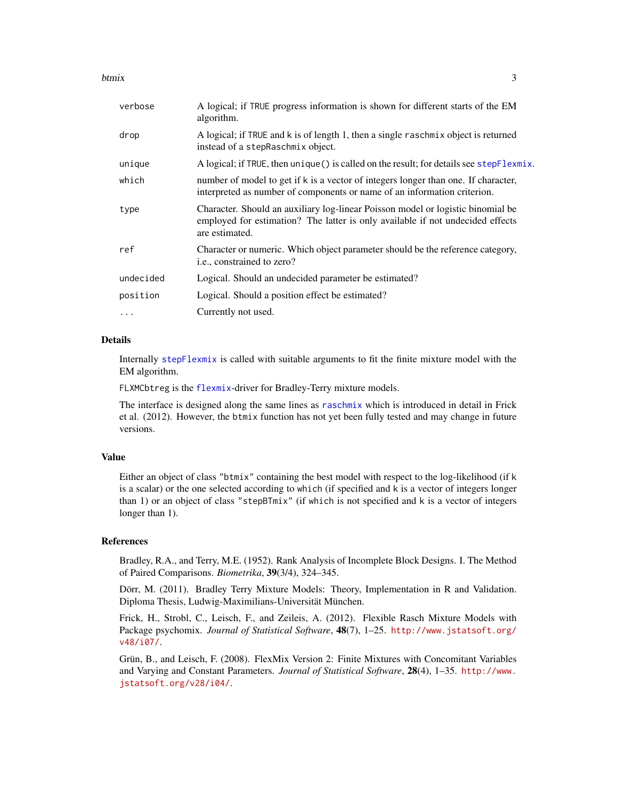#### <span id="page-2-0"></span>btmix 3

| verbose   | A logical; if TRUE progress information is shown for different starts of the EM<br>algorithm.                                                                                       |
|-----------|-------------------------------------------------------------------------------------------------------------------------------------------------------------------------------------|
| drop      | A logical; if TRUE and k is of length 1, then a single raschmix object is returned<br>instead of a stepRaschmix object.                                                             |
| unique    | A logical; if TRUE, then unique () is called on the result; for details see stepFlexmix.                                                                                            |
| which     | number of model to get if k is a vector of integers longer than one. If character,<br>interpreted as number of components or name of an information criterion.                      |
| type      | Character. Should an auxiliary log-linear Poisson model or logistic binomial be<br>employed for estimation? The latter is only available if not undecided effects<br>are estimated. |
| ref       | Character or numeric. Which object parameter should be the reference category,<br>i.e., constrained to zero?                                                                        |
| undecided | Logical. Should an undecided parameter be estimated?                                                                                                                                |
| position  | Logical. Should a position effect be estimated?                                                                                                                                     |
| $\ddots$  | Currently not used.                                                                                                                                                                 |
|           |                                                                                                                                                                                     |

#### Details

Internally [stepFlexmix](#page-0-0) is called with suitable arguments to fit the finite mixture model with the EM algorithm.

FLXMCbtreg is the [flexmix](#page-0-0)-driver for Bradley-Terry mixture models.

The interface is designed along the same lines as [raschmix](#page-10-1) which is introduced in detail in Frick et al. (2012). However, the btmix function has not yet been fully tested and may change in future versions.

#### Value

Either an object of class "btmix" containing the best model with respect to the log-likelihood (if k is a scalar) or the one selected according to which (if specified and k is a vector of integers longer than 1) or an object of class "stepBTmix" (if which is not specified and k is a vector of integers longer than 1).

#### References

Bradley, R.A., and Terry, M.E. (1952). Rank Analysis of Incomplete Block Designs. I. The Method of Paired Comparisons. *Biometrika*, 39(3/4), 324–345.

Dörr, M. (2011). Bradley Terry Mixture Models: Theory, Implementation in R and Validation. Diploma Thesis, Ludwig-Maximilians-Universität München.

Frick, H., Strobl, C., Leisch, F., and Zeileis, A. (2012). Flexible Rasch Mixture Models with Package psychomix. *Journal of Statistical Software*, 48(7), 1–25. [http://www.jstatsoft.org/](http://www.jstatsoft.org/v48/i07/) [v48/i07/](http://www.jstatsoft.org/v48/i07/).

Grün, B., and Leisch, F. (2008). FlexMix Version 2: Finite Mixtures with Concomitant Variables and Varying and Constant Parameters. *Journal of Statistical Software*, 28(4), 1–35. [http://www.](http://www.jstatsoft.org/v28/i04/) [jstatsoft.org/v28/i04/](http://www.jstatsoft.org/v28/i04/).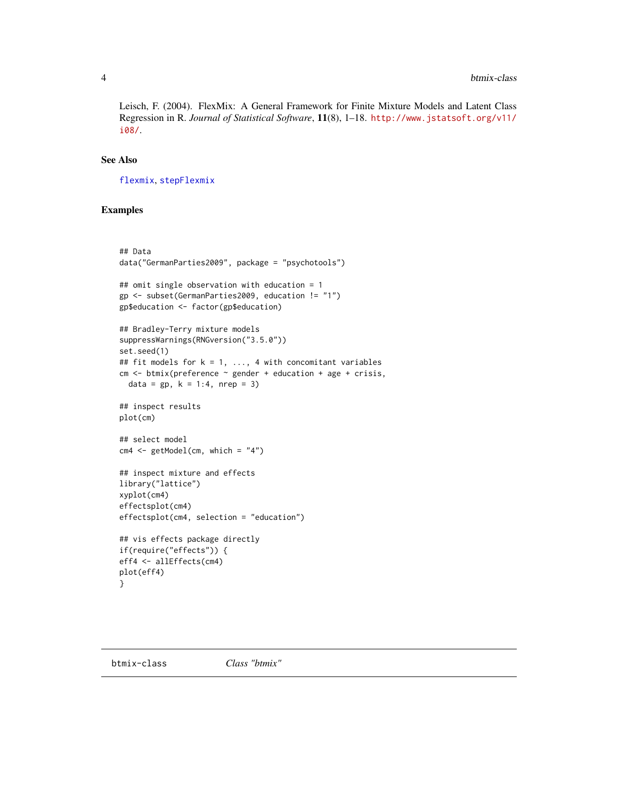<span id="page-3-0"></span>Leisch, F. (2004). FlexMix: A General Framework for Finite Mixture Models and Latent Class Regression in R. *Journal of Statistical Software*, 11(8), 1–18. [http://www.jstatsoft.org/v11/](http://www.jstatsoft.org/v11/i08/) [i08/](http://www.jstatsoft.org/v11/i08/).

#### See Also

[flexmix](#page-0-0), [stepFlexmix](#page-0-0)

#### Examples

```
## Data
data("GermanParties2009", package = "psychotools")
## omit single observation with education = 1
gp <- subset(GermanParties2009, education != "1")
gp$education <- factor(gp$education)
## Bradley-Terry mixture models
suppressWarnings(RNGversion("3.5.0"))
set.seed(1)
## fit models for k = 1, ..., 4 with concomitant variables
cm <- btmix(preference ~ gender + education + age + crisis,
  data = gp, k = 1:4, nrep = 3)
## inspect results
plot(cm)
## select model
cm4 < - getModel(cm, which = "4")## inspect mixture and effects
library("lattice")
xyplot(cm4)
effectsplot(cm4)
effectsplot(cm4, selection = "education")
## vis effects package directly
if(require("effects")) {
eff4 <- allEffects(cm4)
plot(eff4)
}
```
<span id="page-3-1"></span>btmix-class *Class "btmix"*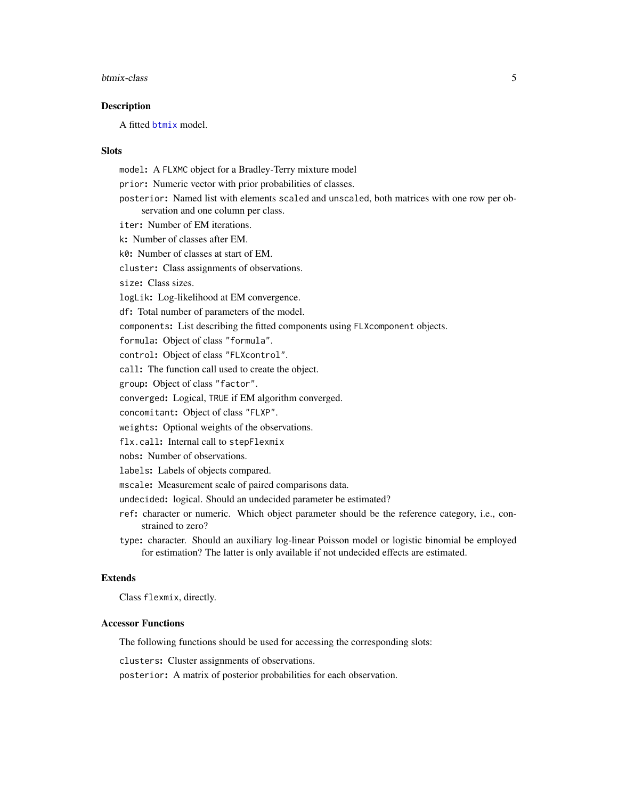#### <span id="page-4-0"></span>btmix-class 5

#### **Description**

A fitted [btmix](#page-1-1) model.

#### Slots

model: A FLXMC object for a Bradley-Terry mixture model prior: Numeric vector with prior probabilities of classes. posterior: Named list with elements scaled and unscaled, both matrices with one row per observation and one column per class. iter: Number of EM iterations. k: Number of classes after EM. k0: Number of classes at start of EM. cluster: Class assignments of observations. size: Class sizes. logLik: Log-likelihood at EM convergence. df: Total number of parameters of the model. components: List describing the fitted components using FLXcomponent objects. formula: Object of class "formula". control: Object of class "FLXcontrol". call: The function call used to create the object. group: Object of class "factor". converged: Logical, TRUE if EM algorithm converged. concomitant: Object of class "FLXP". weights: Optional weights of the observations. flx.call: Internal call to stepFlexmix nobs: Number of observations. labels: Labels of objects compared. mscale: Measurement scale of paired comparisons data. undecided: logical. Should an undecided parameter be estimated? ref: character or numeric. Which object parameter should be the reference category, i.e., constrained to zero? type: character. Should an auxiliary log-linear Poisson model or logistic binomial be employed for estimation? The latter is only available if not undecided effects are estimated. Extends

Class flexmix, directly.

#### Accessor Functions

The following functions should be used for accessing the corresponding slots:

clusters: Cluster assignments of observations.

posterior: A matrix of posterior probabilities for each observation.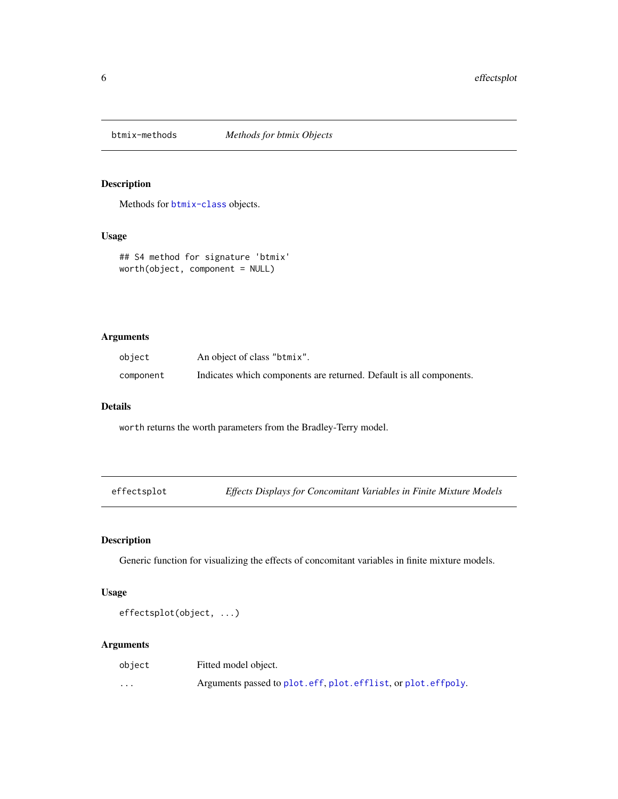<span id="page-5-0"></span>

### Description

Methods for [btmix-class](#page-3-1) objects.

#### Usage

```
## S4 method for signature 'btmix'
worth(object, component = NULL)
```
#### Arguments

| object    | An object of class "btmix".                                         |
|-----------|---------------------------------------------------------------------|
| component | Indicates which components are returned. Default is all components. |

#### Details

worth returns the worth parameters from the Bradley-Terry model.

| effectsplot |  | Effects Displays for Concomitant Variables in Finite Mixture Models |  |
|-------------|--|---------------------------------------------------------------------|--|
|-------------|--|---------------------------------------------------------------------|--|

### Description

Generic function for visualizing the effects of concomitant variables in finite mixture models.

#### Usage

effectsplot(object, ...)

| object                  | Fitted model object.                                         |
|-------------------------|--------------------------------------------------------------|
| $\cdot$ $\cdot$ $\cdot$ | Arguments passed to plot.eff, plot.efflist, or plot.effpoly. |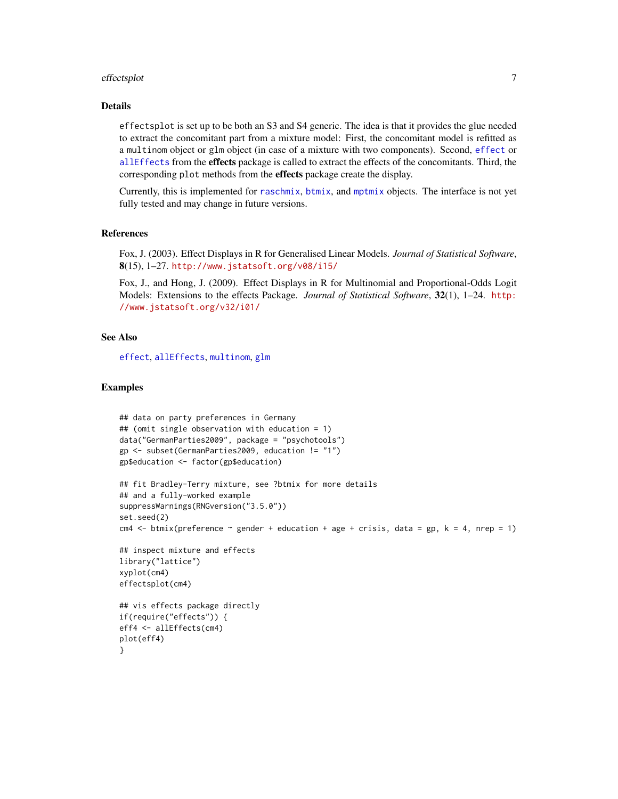#### <span id="page-6-0"></span>effectsplot 7

#### Details

effectsplot is set up to be both an S3 and S4 generic. The idea is that it provides the glue needed to extract the concomitant part from a mixture model: First, the concomitant model is refitted as a multinom object or glm object (in case of a mixture with two components). Second, [effect](#page-0-0) or [allEffects](#page-0-0) from the effects package is called to extract the effects of the concomitants. Third, the corresponding plot methods from the effects package create the display.

Currently, this is implemented for [raschmix](#page-10-1), [btmix](#page-1-1), and [mptmix](#page-7-1) objects. The interface is not yet fully tested and may change in future versions.

#### References

Fox, J. (2003). Effect Displays in R for Generalised Linear Models. *Journal of Statistical Software*, 8(15), 1–27. <http://www.jstatsoft.org/v08/i15/>

Fox, J., and Hong, J. (2009). Effect Displays in R for Multinomial and Proportional-Odds Logit Models: Extensions to the effects Package. *Journal of Statistical Software*, 32(1), 1–24. [http:](http://www.jstatsoft.org/v32/i01/) [//www.jstatsoft.org/v32/i01/](http://www.jstatsoft.org/v32/i01/)

#### See Also

[effect](#page-0-0), [allEffects](#page-0-0), [multinom](#page-0-0), [glm](#page-0-0)

#### Examples

```
## data on party preferences in Germany
## (omit single observation with education = 1)
data("GermanParties2009", package = "psychotools")
gp <- subset(GermanParties2009, education != "1")
gp$education <- factor(gp$education)
## fit Bradley-Terry mixture, see ?btmix for more details
## and a fully-worked example
suppressWarnings(RNGversion("3.5.0"))
set.seed(2)
cm4 \leftarrow btmix(preference \sim gender + education + age + crisis, data = gp, k = 4, nrep = 1)
## inspect mixture and effects
library("lattice")
xyplot(cm4)
effectsplot(cm4)
## vis effects package directly
if(require("effects")) {
eff4 <- allEffects(cm4)
plot(eff4)
}
```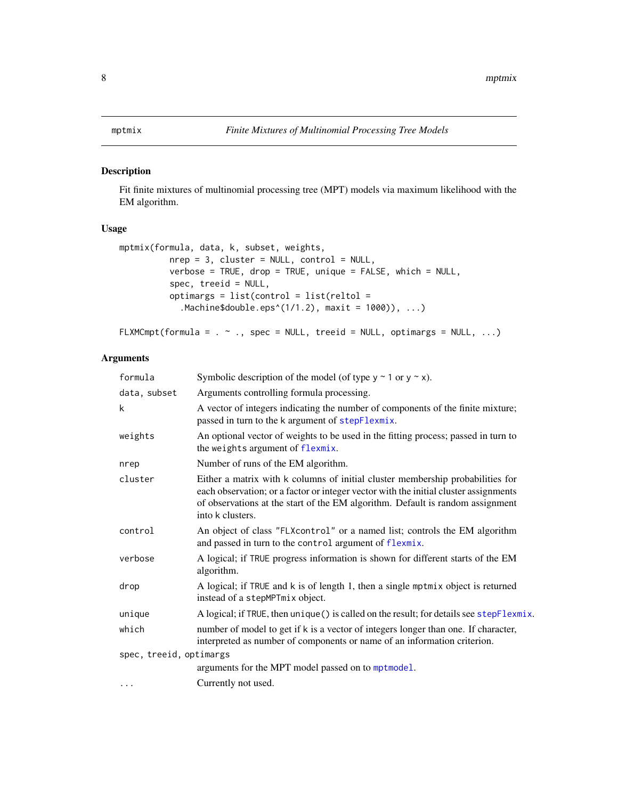#### <span id="page-7-1"></span><span id="page-7-0"></span>Description

Fit finite mixtures of multinomial processing tree (MPT) models via maximum likelihood with the EM algorithm.

#### Usage

```
mptmix(formula, data, k, subset, weights,
          nrep = 3, cluster = NULL, control = NULL,
          verbose = TRUE, drop = TRUE, unique = FALSE, which = NULL,
          spec, treeid = NULL,
          optimargs = list(control = list(reltol =
            .Machine$double.eps^(1/1.2), maxit = 1000)), ...)
```
FLXMCmpt(formula =  $. ~ \sim .$ , spec = NULL, treeid = NULL, optimargs = NULL,  $...$ )

| formula                 | Symbolic description of the model (of type $y \sim 1$ or $y \sim x$ ).                                                                                                                                                                                                       |
|-------------------------|------------------------------------------------------------------------------------------------------------------------------------------------------------------------------------------------------------------------------------------------------------------------------|
| data, subset            | Arguments controlling formula processing.                                                                                                                                                                                                                                    |
| k                       | A vector of integers indicating the number of components of the finite mixture;<br>passed in turn to the k argument of stepFlexmix.                                                                                                                                          |
| weights                 | An optional vector of weights to be used in the fitting process; passed in turn to<br>the weights argument of flexmix.                                                                                                                                                       |
| nrep                    | Number of runs of the EM algorithm.                                                                                                                                                                                                                                          |
| cluster                 | Either a matrix with k columns of initial cluster membership probabilities for<br>each observation; or a factor or integer vector with the initial cluster assignments<br>of observations at the start of the EM algorithm. Default is random assignment<br>into k clusters. |
| control                 | An object of class "FLXcontrol" or a named list; controls the EM algorithm<br>and passed in turn to the control argument of flexmix.                                                                                                                                         |
| verbose                 | A logical; if TRUE progress information is shown for different starts of the EM<br>algorithm.                                                                                                                                                                                |
| drop                    | A logical; if TRUE and k is of length 1, then a single mptmix object is returned<br>instead of a stepMPTmix object.                                                                                                                                                          |
| unique                  | A logical; if TRUE, then unique () is called on the result; for details see stepFlexmix.                                                                                                                                                                                     |
| which                   | number of model to get if k is a vector of integers longer than one. If character,<br>interpreted as number of components or name of an information criterion.                                                                                                               |
| spec, treeid, optimargs |                                                                                                                                                                                                                                                                              |
|                         | arguments for the MPT model passed on to mptmodel.                                                                                                                                                                                                                           |
| $\cdots$                | Currently not used.                                                                                                                                                                                                                                                          |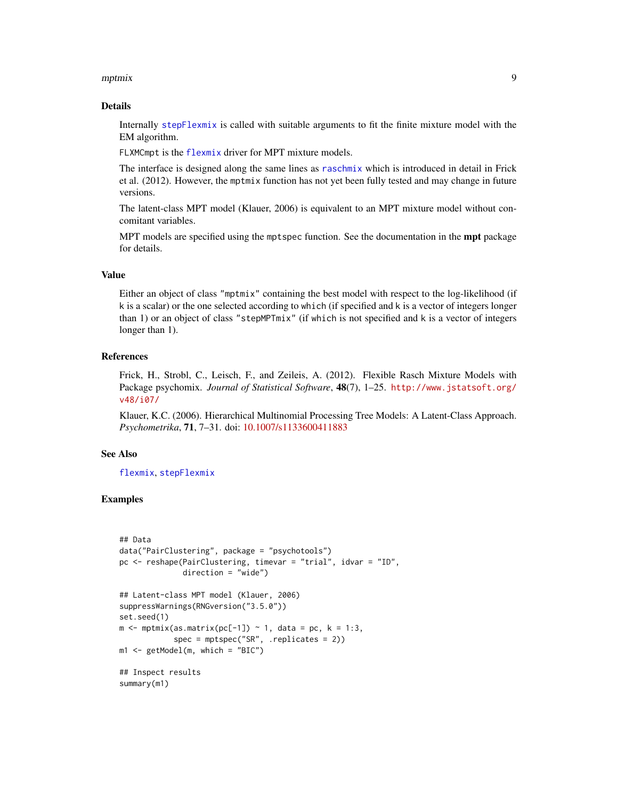#### <span id="page-8-0"></span>mptmix **9**

#### Details

Internally [stepFlexmix](#page-0-0) is called with suitable arguments to fit the finite mixture model with the EM algorithm.

FLXMCmpt is the [flexmix](#page-0-0) driver for MPT mixture models.

The interface is designed along the same lines as [raschmix](#page-10-1) which is introduced in detail in Frick et al. (2012). However, the mptmix function has not yet been fully tested and may change in future versions.

The latent-class MPT model (Klauer, 2006) is equivalent to an MPT mixture model without concomitant variables.

MPT models are specified using the mptspec function. See the documentation in the **mpt** package for details.

#### Value

Either an object of class "mptmix" containing the best model with respect to the log-likelihood (if k is a scalar) or the one selected according to which (if specified and k is a vector of integers longer than 1) or an object of class "stepMPTmix" (if which is not specified and k is a vector of integers longer than 1).

#### References

Frick, H., Strobl, C., Leisch, F., and Zeileis, A. (2012). Flexible Rasch Mixture Models with Package psychomix. *Journal of Statistical Software*, 48(7), 1–25. [http://www.jstatsoft.org/](http://www.jstatsoft.org/v48/i07/) [v48/i07/](http://www.jstatsoft.org/v48/i07/)

Klauer, K.C. (2006). Hierarchical Multinomial Processing Tree Models: A Latent-Class Approach. *Psychometrika*, 71, 7–31. doi: [10.1007/s1133600411883](https://doi.org/10.1007/s11336-004-1188-3)

#### See Also

[flexmix](#page-0-0), [stepFlexmix](#page-0-0)

#### Examples

```
## Data
data("PairClustering", package = "psychotools")
pc <- reshape(PairClustering, timevar = "trial", idvar = "ID",
              direction = "wide")
## Latent-class MPT model (Klauer, 2006)
suppressWarnings(RNGversion("3.5.0"))
set.seed(1)
m \le - mptmix(as.matrix(pc[-1]) ~ 1, data = pc, k = 1:3,
            spec = mptspec("SR", .replicates = 2))
m1 \leq - getModel(m, which = "BIC")
## Inspect results
summary(m1)
```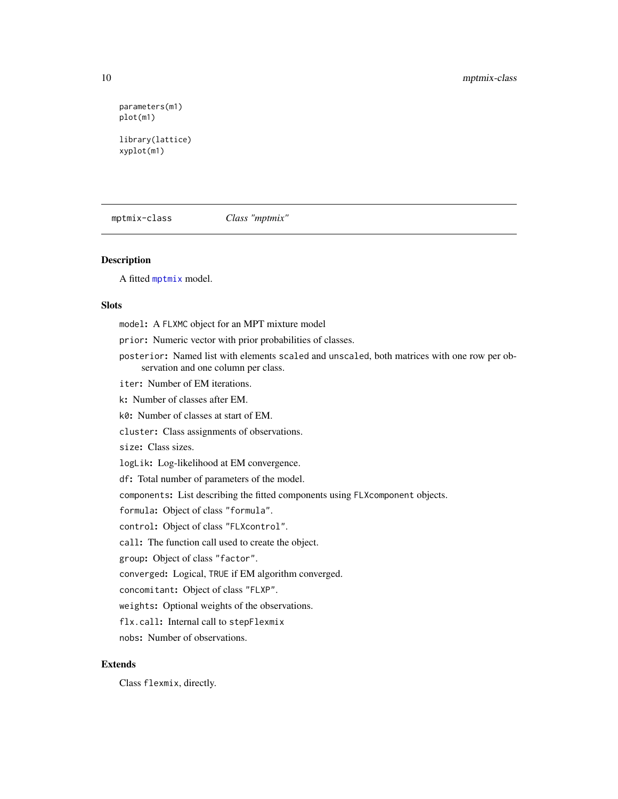```
parameters(m1)
plot(m1)
library(lattice)
xyplot(m1)
```
mptmix-class *Class "mptmix"*

#### Description

A fitted [mptmix](#page-7-1) model.

#### Slots

model: A FLXMC object for an MPT mixture model prior: Numeric vector with prior probabilities of classes. posterior: Named list with elements scaled and unscaled, both matrices with one row per observation and one column per class. iter: Number of EM iterations. k: Number of classes after EM. k0: Number of classes at start of EM. cluster: Class assignments of observations. size: Class sizes. logLik: Log-likelihood at EM convergence. df: Total number of parameters of the model. components: List describing the fitted components using FLXcomponent objects. formula: Object of class "formula". control: Object of class "FLXcontrol". call: The function call used to create the object. group: Object of class "factor". converged: Logical, TRUE if EM algorithm converged. concomitant: Object of class "FLXP". weights: Optional weights of the observations. flx.call: Internal call to stepFlexmix nobs: Number of observations.

### Extends

Class flexmix, directly.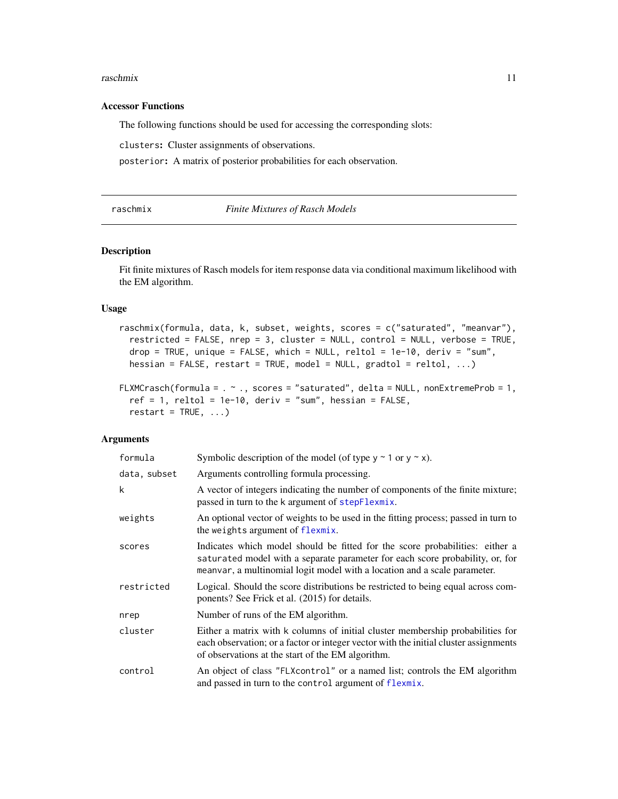#### <span id="page-10-0"></span>raschmix 11

#### Accessor Functions

The following functions should be used for accessing the corresponding slots:

clusters: Cluster assignments of observations.

posterior: A matrix of posterior probabilities for each observation.

<span id="page-10-1"></span>raschmix *Finite Mixtures of Rasch Models*

#### Description

Fit finite mixtures of Rasch models for item response data via conditional maximum likelihood with the EM algorithm.

#### Usage

```
raschmix(formula, data, k, subset, weights, scores = c("saturated", "meanvar"),
  restricted = FALSE, nrep = 3, cluster = NULL, control = NULL, verbose = TRUE,
 drop = TRUE, unique = FALSE, which = NULL, reltol = 1e-10, deriv = "sum",
 hessian = FALSE, restart = TRUE, model = NULL, gradtol = reltol, \dots)
```

```
FLXMCrasch(formula = . \sim ., scores = "saturated", delta = NULL, nonExtremeProb = 1,
  ref = 1, reltol = 1e-10, deriv = "sum", hessian = FALSE,restart = TRUE, ...
```

| formula      | Symbolic description of the model (of type $y \sim 1$ or $y \sim x$ ).                                                                                                                                                                     |
|--------------|--------------------------------------------------------------------------------------------------------------------------------------------------------------------------------------------------------------------------------------------|
| data, subset | Arguments controlling formula processing.                                                                                                                                                                                                  |
| k            | A vector of integers indicating the number of components of the finite mixture;<br>passed in turn to the k argument of stepFlexmix.                                                                                                        |
| weights      | An optional vector of weights to be used in the fitting process; passed in turn to<br>the weights argument of flexmix.                                                                                                                     |
| scores       | Indicates which model should be fitted for the score probabilities: either a<br>saturated model with a separate parameter for each score probability, or, for<br>meanvar, a multinomial logit model with a location and a scale parameter. |
| restricted   | Logical. Should the score distributions be restricted to being equal across com-<br>ponents? See Frick et al. (2015) for details.                                                                                                          |
| nrep         | Number of runs of the EM algorithm.                                                                                                                                                                                                        |
| cluster      | Either a matrix with k columns of initial cluster membership probabilities for<br>each observation; or a factor or integer vector with the initial cluster assignments<br>of observations at the start of the EM algorithm.                |
| control      | An object of class "FLXcontrol" or a named list; controls the EM algorithm<br>and passed in turn to the control argument of flexmix.                                                                                                       |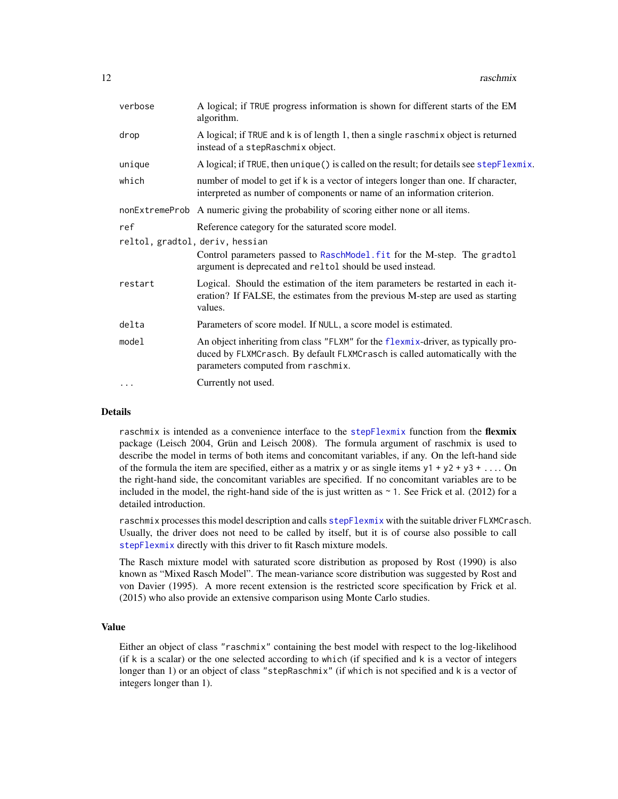<span id="page-11-0"></span>

| verbose                         | A logical; if TRUE progress information is shown for different starts of the EM<br>algorithm.                                                                                                         |
|---------------------------------|-------------------------------------------------------------------------------------------------------------------------------------------------------------------------------------------------------|
| drop                            | A logical; if TRUE and k is of length 1, then a single raschmix object is returned<br>instead of a stepRaschmix object.                                                                               |
| unique                          | A logical; if TRUE, then unique () is called on the result; for details see stepFlexmix.                                                                                                              |
| which                           | number of model to get if k is a vector of integers longer than one. If character,<br>interpreted as number of components or name of an information criterion.                                        |
|                                 | nonExtremeProb A numeric giving the probability of scoring either none or all items.                                                                                                                  |
| ref                             | Reference category for the saturated score model.                                                                                                                                                     |
| reltol, gradtol, deriv, hessian |                                                                                                                                                                                                       |
|                                 | Control parameters passed to RaschModel. fit for the M-step. The gradtol<br>argument is deprecated and reltol should be used instead.                                                                 |
| restart                         | Logical. Should the estimation of the item parameters be restarted in each it-<br>eration? If FALSE, the estimates from the previous M-step are used as starting<br>values.                           |
| delta                           | Parameters of score model. If NULL, a score model is estimated.                                                                                                                                       |
| model                           | An object inheriting from class "FLXM" for the flexmix-driver, as typically pro-<br>duced by FLXMCrasch. By default FLXMCrasch is called automatically with the<br>parameters computed from raschmix. |
|                                 | Currently not used.                                                                                                                                                                                   |
|                                 |                                                                                                                                                                                                       |

#### Details

raschmix is intended as a convenience interface to the [stepFlexmix](#page-0-0) function from the flexmix package (Leisch 2004, Grün and Leisch 2008). The formula argument of raschmix is used to describe the model in terms of both items and concomitant variables, if any. On the left-hand side of the formula the item are specified, either as a matrix y or as single items  $y1 + y2 + y3 + ...$  On the right-hand side, the concomitant variables are specified. If no concomitant variables are to be included in the model, the right-hand side of the is just written as  $\sim$  1. See Frick et al. (2012) for a detailed introduction.

raschmix processes this model description and calls [stepFlexmix](#page-0-0) with the suitable driver FLXMCrasch. Usually, the driver does not need to be called by itself, but it is of course also possible to call [stepFlexmix](#page-0-0) directly with this driver to fit Rasch mixture models.

The Rasch mixture model with saturated score distribution as proposed by Rost (1990) is also known as "Mixed Rasch Model". The mean-variance score distribution was suggested by Rost and von Davier (1995). A more recent extension is the restricted score specification by Frick et al. (2015) who also provide an extensive comparison using Monte Carlo studies.

#### Value

Either an object of class "raschmix" containing the best model with respect to the log-likelihood (if k is a scalar) or the one selected according to which (if specified and k is a vector of integers longer than 1) or an object of class "stepRaschmix" (if which is not specified and k is a vector of integers longer than 1).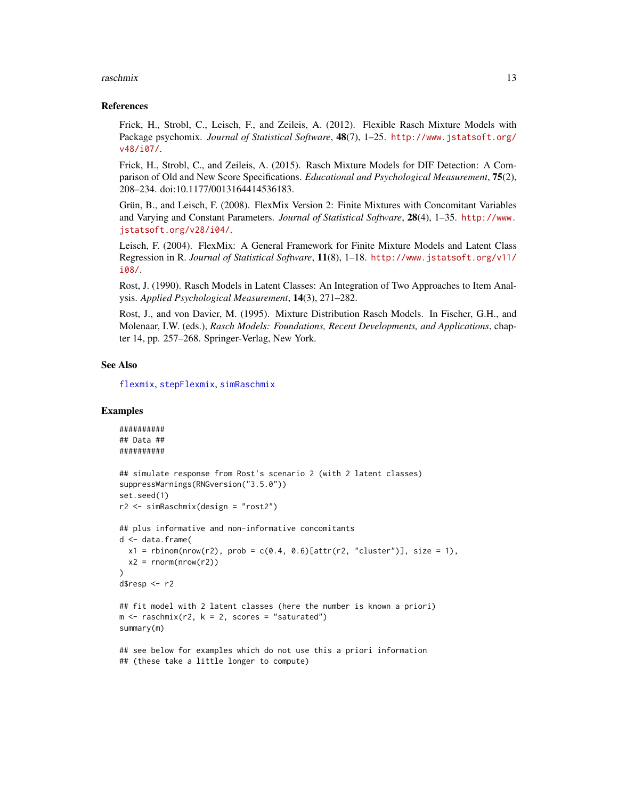#### <span id="page-12-0"></span>raschmix 13

#### References

Frick, H., Strobl, C., Leisch, F., and Zeileis, A. (2012). Flexible Rasch Mixture Models with Package psychomix. *Journal of Statistical Software*, 48(7), 1–25. [http://www.jstatsoft.org/](http://www.jstatsoft.org/v48/i07/) [v48/i07/](http://www.jstatsoft.org/v48/i07/).

Frick, H., Strobl, C., and Zeileis, A. (2015). Rasch Mixture Models for DIF Detection: A Comparison of Old and New Score Specifications. *Educational and Psychological Measurement*, 75(2), 208–234. doi:10.1177/0013164414536183.

Grün, B., and Leisch, F. (2008). FlexMix Version 2: Finite Mixtures with Concomitant Variables and Varying and Constant Parameters. *Journal of Statistical Software*, 28(4), 1–35. [http://www.](http://www.jstatsoft.org/v28/i04/) [jstatsoft.org/v28/i04/](http://www.jstatsoft.org/v28/i04/).

Leisch, F. (2004). FlexMix: A General Framework for Finite Mixture Models and Latent Class Regression in R. *Journal of Statistical Software*, 11(8), 1–18. [http://www.jstatsoft.org/v11/](http://www.jstatsoft.org/v11/i08/) [i08/](http://www.jstatsoft.org/v11/i08/).

Rost, J. (1990). Rasch Models in Latent Classes: An Integration of Two Approaches to Item Analysis. *Applied Psychological Measurement*, 14(3), 271–282.

Rost, J., and von Davier, M. (1995). Mixture Distribution Rasch Models. In Fischer, G.H., and Molenaar, I.W. (eds.), *Rasch Models: Foundations, Recent Developments, and Applications*, chapter 14, pp. 257–268. Springer-Verlag, New York.

#### See Also

[flexmix](#page-0-0), [stepFlexmix](#page-0-0), [simRaschmix](#page-19-1)

#### Examples

```
##########
## Data ##
##########
## simulate response from Rost's scenario 2 (with 2 latent classes)
suppressWarnings(RNGversion("3.5.0"))
set.seed(1)
r2 <- simRaschmix(design = "rost2")
## plus informative and non-informative concomitants
d <- data.frame(
 x1 = rbinom(nrow(r2), prob = c(0.4, 0.6)[attr(r2, "cluster")], size = 1),
 x2 = \text{rnorm}(\text{nrow}(r2)))
d$resp <- r2
## fit model with 2 latent classes (here the number is known a priori)
m \leq -r raschmix(r2, k = 2, scores = "saturated")
summary(m)
## see below for examples which do not use this a priori information
## (these take a little longer to compute)
```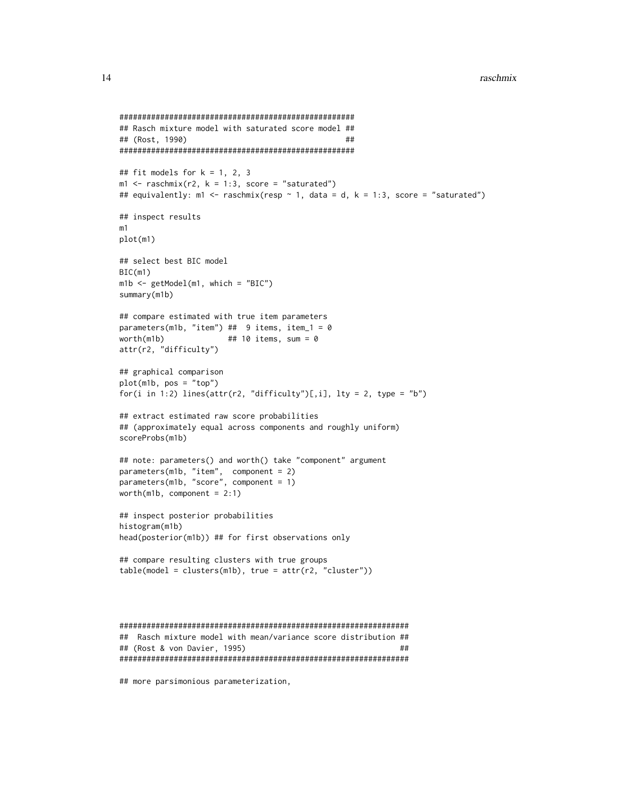```
####################################################
## Rasch mixture model with saturated score model ##
## (Rost, 1990) ##
####################################################
## fit models for k = 1, 2, 3m1 \leq - raschmix(r2, k = 1:3, score = "saturated")
## equivalently: m1 < - raschmix(resp \sim 1, data = d, k = 1:3, score = "saturated")
## inspect results
m1
plot(m1)
## select best BIC model
BIC(m1)
m1b <- getModel(m1, which = "BIC")
summary(m1b)
## compare estimated with true item parameters
parameters(m1b, "item") ## 9 items, item_1 = 0
worth(m1b) \# # 10 items, sum = 0
attr(r2, "difficulty")
## graphical comparison
plot(m1b, pos = "top")
for(i in 1:2) lines(attr(r2, "difficulty")[,i], lty = 2, type = "b")
## extract estimated raw score probabilities
## (approximately equal across components and roughly uniform)
scoreProbs(m1b)
## note: parameters() and worth() take "component" argument
parameters(m1b, "item", component = 2)
parameters(m1b, "score", component = 1)
worth(m1b, component = 2:1)
## inspect posterior probabilities
histogram(m1b)
head(posterior(m1b)) ## for first observations only
## compare resulting clusters with true groups
table(model = clusters(m1b), true = attr(r2, "cluster"))
```

```
################################################################
## Rasch mixture model with mean/variance score distribution ##
## (Rost & von Davier, 1995) ##
################################################################
```
## more parsimonious parameterization,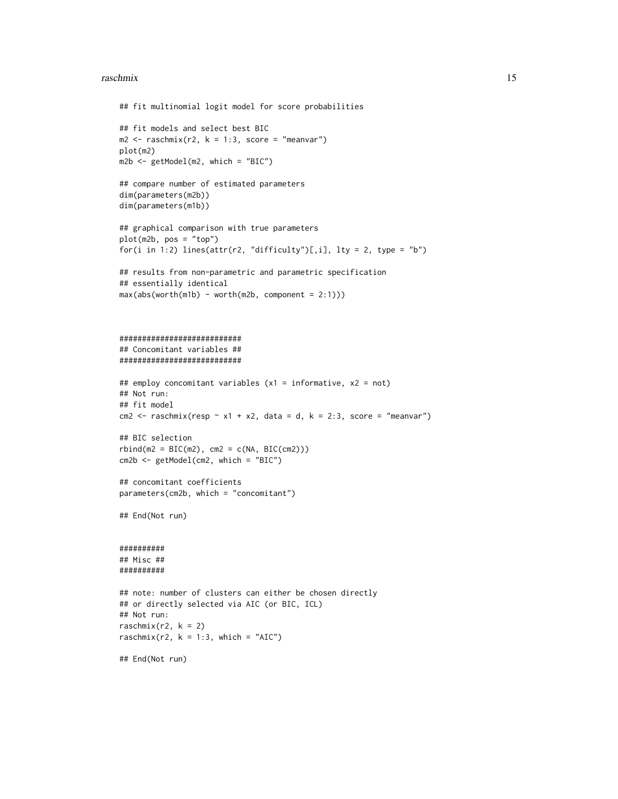#### raschmix 15

```
## fit multinomial logit model for score probabilities
## fit models and select best BIC
m2 \leq -rasehmix(r2, k = 1:3, score = "meanvar")plot(m2)
m2b \leq-getModel(m2, which = "BIC")## compare number of estimated parameters
dim(parameters(m2b))
dim(parameters(m1b))
## graphical comparison with true parameters
plot(m2b, pos = "top")
for(i in 1:2) lines(attr(r2, "difficulty")[,i], lty = 2, type = "b")
## results from non-parametric and parametric specification
## essentially identical
max(abs(wordth(m1b) - worth(m2b, component = 2:1)))###########################
## Concomitant variables ##
###########################
## employ concomitant variables (x1 = informative, x2 = not)
## Not run:
## fit model
cm2 <- raschmix(resp ~ x1 + x2, data = d, k = 2:3, score = "meanvar")
## BIC selection
rbind(m2 = BIC(m2), cm2 = c(NA, BIC(cm2)))cm2b <- getModel(cm2, which = "BIC")
## concomitant coefficients
parameters(cm2b, which = "concomitant")
## End(Not run)
##########
## Misc ##
##########
## note: number of clusters can either be chosen directly
## or directly selected via AIC (or BIC, ICL)
## Not run:
raschmix(r2, k = 2)
raschmix(r2, k = 1:3, which = "AIC")
## End(Not run)
```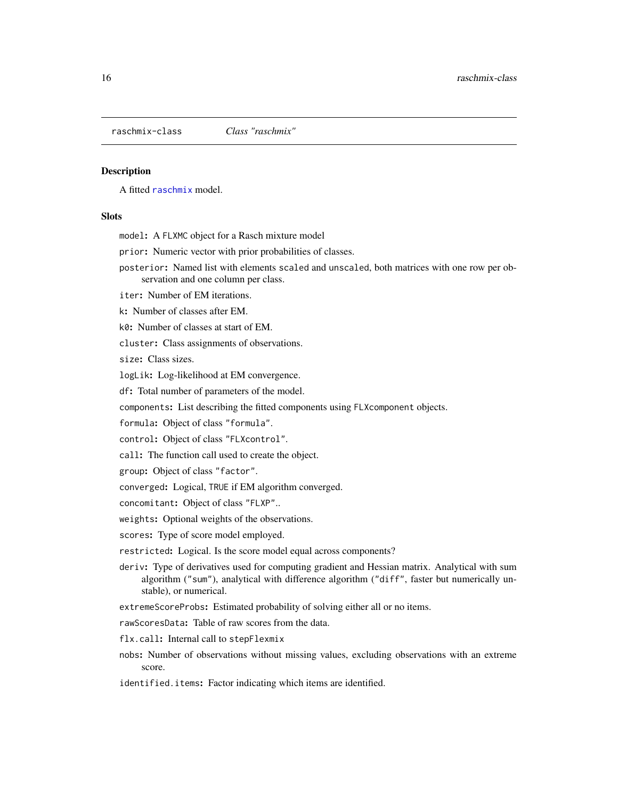<span id="page-15-1"></span><span id="page-15-0"></span>raschmix-class *Class "raschmix"*

#### **Description**

A fitted [raschmix](#page-10-1) model.

#### **Slots**

model: A FLXMC object for a Rasch mixture model

prior: Numeric vector with prior probabilities of classes.

posterior: Named list with elements scaled and unscaled, both matrices with one row per observation and one column per class.

iter: Number of EM iterations.

k: Number of classes after EM.

k0: Number of classes at start of EM.

cluster: Class assignments of observations.

size: Class sizes.

logLik: Log-likelihood at EM convergence.

df: Total number of parameters of the model.

components: List describing the fitted components using FLXcomponent objects.

formula: Object of class "formula".

control: Object of class "FLXcontrol".

call: The function call used to create the object.

group: Object of class "factor".

converged: Logical, TRUE if EM algorithm converged.

concomitant: Object of class "FLXP"..

weights: Optional weights of the observations.

scores: Type of score model employed.

restricted: Logical. Is the score model equal across components?

- deriv: Type of derivatives used for computing gradient and Hessian matrix. Analytical with sum algorithm ("sum"), analytical with difference algorithm ("diff", faster but numerically unstable), or numerical.
- extremeScoreProbs: Estimated probability of solving either all or no items.

rawScoresData: Table of raw scores from the data.

- flx.call: Internal call to stepFlexmix
- nobs: Number of observations without missing values, excluding observations with an extreme score.

identified.items: Factor indicating which items are identified.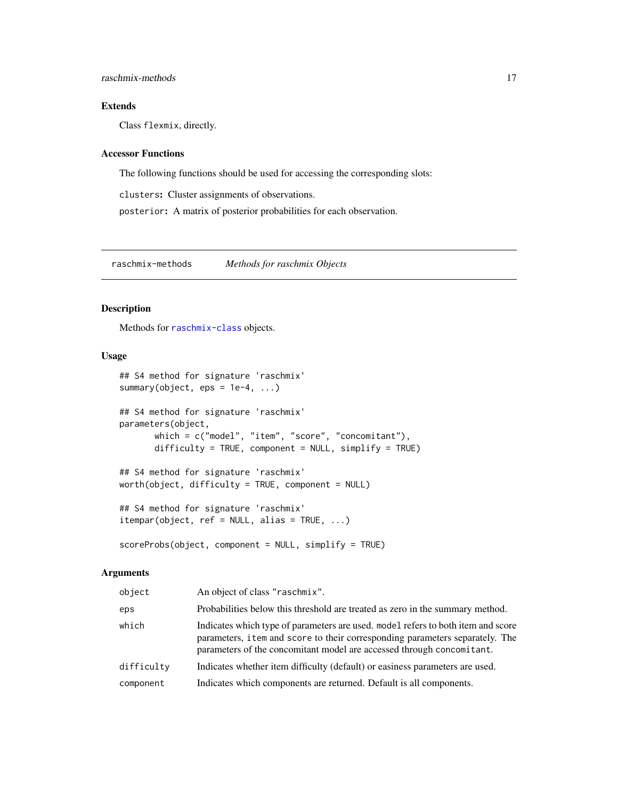#### <span id="page-16-0"></span>Extends

Class flexmix, directly.

#### Accessor Functions

The following functions should be used for accessing the corresponding slots:

clusters: Cluster assignments of observations.

posterior: A matrix of posterior probabilities for each observation.

raschmix-methods *Methods for raschmix Objects*

#### Description

Methods for [raschmix-class](#page-15-1) objects.

#### Usage

```
## S4 method for signature 'raschmix'
summary(object, eps = 1e-4, ...)
## S4 method for signature 'raschmix'
parameters(object,
      which = c("model", "item", "score", "concomitant"),
      difficulty = TRUE, component = NULL, simplify = TRUE)
## S4 method for signature 'raschmix'
worth(object, difficulty = TRUE, component = NULL)
## S4 method for signature 'raschmix'
itempar(object, ref = NULL, alias = TRUE, ...)scoreProbs(object, component = NULL, simplify = TRUE)
```

| object     | An object of class "raschmix".                                                                                                                                                                                                             |
|------------|--------------------------------------------------------------------------------------------------------------------------------------------------------------------------------------------------------------------------------------------|
| eps        | Probabilities below this threshold are treated as zero in the summary method.                                                                                                                                                              |
| which      | Indicates which type of parameters are used, model refers to both item and score<br>parameters, i tem and score to their corresponding parameters separately. The<br>parameters of the concomitant model are accessed through concomitant. |
| difficulty | Indicates whether item difficulty (default) or easiness parameters are used.                                                                                                                                                               |
| component  | Indicates which components are returned. Default is all components.                                                                                                                                                                        |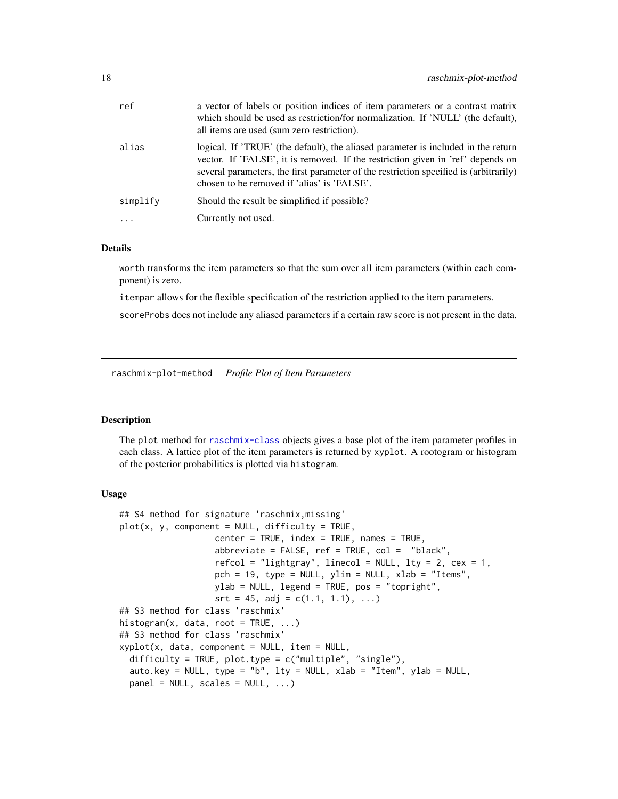<span id="page-17-0"></span>

| ref      | a vector of labels or position indices of item parameters or a contrast matrix<br>which should be used as restriction/for normalization. If 'NULL' (the default),<br>all items are used (sum zero restriction).                                                                                              |
|----------|--------------------------------------------------------------------------------------------------------------------------------------------------------------------------------------------------------------------------------------------------------------------------------------------------------------|
| alias    | logical. If 'TRUE' (the default), the aliased parameter is included in the return<br>vector. If 'FALSE', it is removed. If the restriction given in 'ref' depends on<br>several parameters, the first parameter of the restriction specified is (arbitrarily)<br>chosen to be removed if 'alias' is 'FALSE'. |
| simplify | Should the result be simplified if possible?                                                                                                                                                                                                                                                                 |
|          | Currently not used.                                                                                                                                                                                                                                                                                          |
|          |                                                                                                                                                                                                                                                                                                              |

#### Details

worth transforms the item parameters so that the sum over all item parameters (within each component) is zero.

itempar allows for the flexible specification of the restriction applied to the item parameters.

scoreProbs does not include any aliased parameters if a certain raw score is not present in the data.

raschmix-plot-method *Profile Plot of Item Parameters*

#### Description

The plot method for [raschmix-class](#page-15-1) objects gives a base plot of the item parameter profiles in each class. A lattice plot of the item parameters is returned by xyplot. A rootogram or histogram of the posterior probabilities is plotted via histogram.

#### Usage

```
## S4 method for signature 'raschmix, missing'
plot(x, y, component = NULL, difficulty = TRUE,center = TRUE, index = TRUE, names = TRUE,
                   abbreviate = FALSE, ref = TRUE, col = "black",refcol = "lightgray", linecol = NULL, lty = 2, cex = 1,pch = 19, type = NULL, ylim = NULL, xlab = "Items",
                   ylab = NULL, legend = TRUE, pos = "topright",
                   srt = 45, adj = c(1.1, 1.1), ...## S3 method for class 'raschmix'
histogram(x, data, root = TRUE, \ldots)
## S3 method for class 'raschmix'
xyplot(x, data, component = NULL, item = NULL,difficulty = TRUE, plot.type = c("multiple", "single"),
  auto.key = NULL, type = "b", lty = NULL, xlab = "Item", ylab = NULL,
 panel = NULL, scales = NULL, ...)
```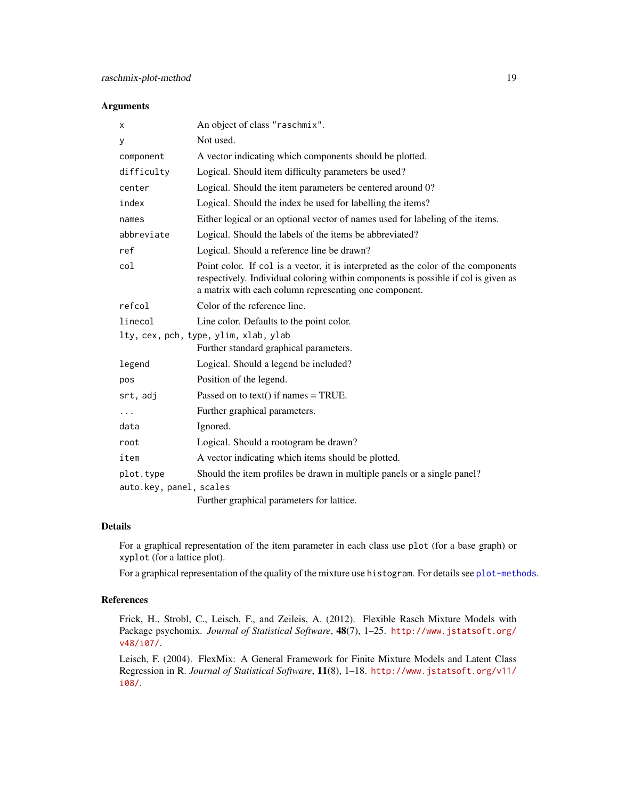#### Arguments

| х                       | An object of class "raschmix".                                                                                                                                                                                                   |  |
|-------------------------|----------------------------------------------------------------------------------------------------------------------------------------------------------------------------------------------------------------------------------|--|
| У                       | Not used.                                                                                                                                                                                                                        |  |
| component               | A vector indicating which components should be plotted.                                                                                                                                                                          |  |
| difficulty              | Logical. Should item difficulty parameters be used?                                                                                                                                                                              |  |
| center                  | Logical. Should the item parameters be centered around 0?                                                                                                                                                                        |  |
| index                   | Logical. Should the index be used for labelling the items?                                                                                                                                                                       |  |
| names                   | Either logical or an optional vector of names used for labeling of the items.                                                                                                                                                    |  |
| abbreviate              | Logical. Should the labels of the items be abbreviated?                                                                                                                                                                          |  |
| ref                     | Logical. Should a reference line be drawn?                                                                                                                                                                                       |  |
| col                     | Point color. If col is a vector, it is interpreted as the color of the components<br>respectively. Individual coloring within components is possible if col is given as<br>a matrix with each column representing one component. |  |
| refcol                  | Color of the reference line.                                                                                                                                                                                                     |  |
| linecol                 | Line color. Defaults to the point color.                                                                                                                                                                                         |  |
|                         | lty, cex, pch, type, ylim, xlab, ylab                                                                                                                                                                                            |  |
|                         | Further standard graphical parameters.                                                                                                                                                                                           |  |
| legend                  | Logical. Should a legend be included?                                                                                                                                                                                            |  |
| pos                     | Position of the legend.                                                                                                                                                                                                          |  |
| srt, adj                | Passed on to text() if names $=$ TRUE.                                                                                                                                                                                           |  |
| $\cdots$                | Further graphical parameters.                                                                                                                                                                                                    |  |
| data                    | Ignored.                                                                                                                                                                                                                         |  |
| root                    | Logical. Should a rootogram be drawn?                                                                                                                                                                                            |  |
| item                    | A vector indicating which items should be plotted.                                                                                                                                                                               |  |
| plot.type               | Should the item profiles be drawn in multiple panels or a single panel?                                                                                                                                                          |  |
| auto.key, panel, scales |                                                                                                                                                                                                                                  |  |
|                         | Further graphical parameters for lattice.                                                                                                                                                                                        |  |

#### Details

For a graphical representation of the item parameter in each class use plot (for a base graph) or xyplot (for a lattice plot).

For a graphical representation of the quality of the mixture use histogram. For details see [plot-methods](#page-0-0).

#### References

Frick, H., Strobl, C., Leisch, F., and Zeileis, A. (2012). Flexible Rasch Mixture Models with Package psychomix. *Journal of Statistical Software*, 48(7), 1–25. [http://www.jstatsoft.org/](http://www.jstatsoft.org/v48/i07/) [v48/i07/](http://www.jstatsoft.org/v48/i07/).

Leisch, F. (2004). FlexMix: A General Framework for Finite Mixture Models and Latent Class Regression in R. *Journal of Statistical Software*, 11(8), 1–18. [http://www.jstatsoft.org/v11/](http://www.jstatsoft.org/v11/i08/) [i08/](http://www.jstatsoft.org/v11/i08/).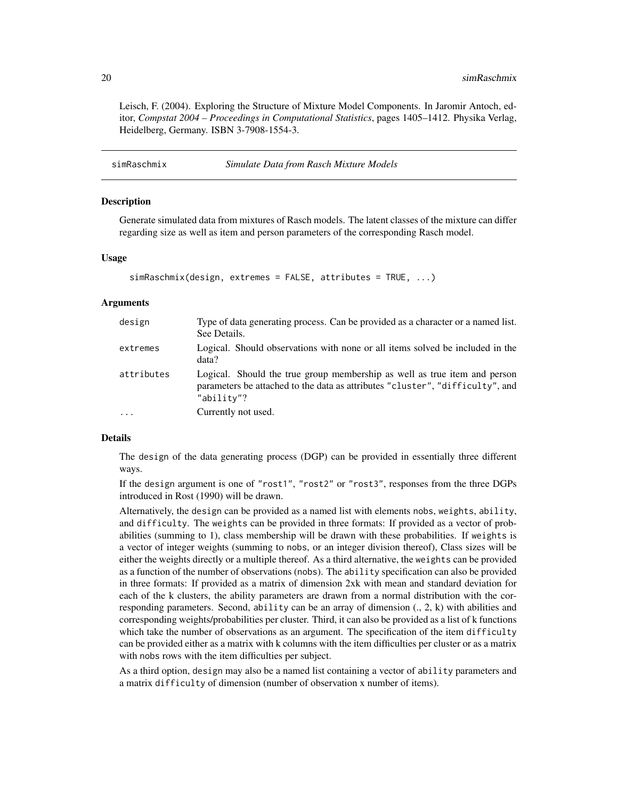<span id="page-19-0"></span>Leisch, F. (2004). Exploring the Structure of Mixture Model Components. In Jaromir Antoch, editor, *Compstat 2004 – Proceedings in Computational Statistics*, pages 1405–1412. Physika Verlag, Heidelberg, Germany. ISBN 3-7908-1554-3.

<span id="page-19-1"></span>

| simRaschmix | Simulate Data from Rasch Mixture Models |  |
|-------------|-----------------------------------------|--|
|-------------|-----------------------------------------|--|

#### Description

Generate simulated data from mixtures of Rasch models. The latent classes of the mixture can differ regarding size as well as item and person parameters of the corresponding Rasch model.

#### Usage

```
simRaschmix(design, extremes = FALSE, attributes = TRUE, ...)
```
#### Arguments

| design     | Type of data generating process. Can be provided as a character or a named list.<br>See Details.                                                                         |
|------------|--------------------------------------------------------------------------------------------------------------------------------------------------------------------------|
| extremes   | Logical. Should observations with none or all items solved be included in the<br>data?                                                                                   |
| attributes | Logical. Should the true group membership as well as true item and person<br>parameters be attached to the data as attributes "cluster", "difficulty", and<br>"ability"? |
| $\cdot$    | Currently not used.                                                                                                                                                      |

#### Details

The design of the data generating process (DGP) can be provided in essentially three different ways.

If the design argument is one of "rost1", "rost2" or "rost3", responses from the three DGPs introduced in Rost (1990) will be drawn.

Alternatively, the design can be provided as a named list with elements nobs, weights, ability, and difficulty. The weights can be provided in three formats: If provided as a vector of probabilities (summing to 1), class membership will be drawn with these probabilities. If weights is a vector of integer weights (summing to nobs, or an integer division thereof), Class sizes will be either the weights directly or a multiple thereof. As a third alternative, the weights can be provided as a function of the number of observations (nobs). The ability specification can also be provided in three formats: If provided as a matrix of dimension 2xk with mean and standard deviation for each of the k clusters, the ability parameters are drawn from a normal distribution with the corresponding parameters. Second, ability can be an array of dimension (., 2, k) with abilities and corresponding weights/probabilities per cluster. Third, it can also be provided as a list of k functions which take the number of observations as an argument. The specification of the item difficulty can be provided either as a matrix with k columns with the item difficulties per cluster or as a matrix with nobs rows with the item difficulties per subject.

As a third option, design may also be a named list containing a vector of ability parameters and a matrix difficulty of dimension (number of observation x number of items).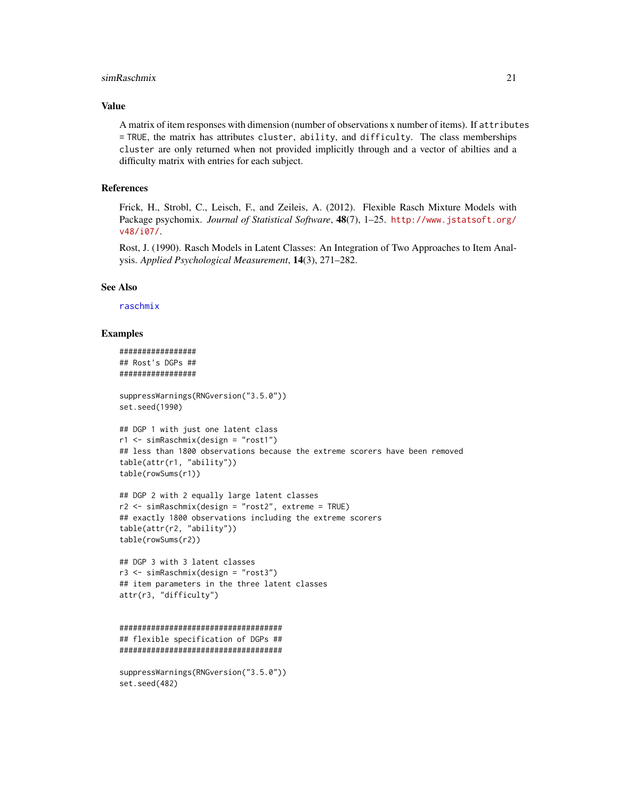#### <span id="page-20-0"></span>simRaschmix 21

#### Value

A matrix of item responses with dimension (number of observations x number of items). If attributes = TRUE, the matrix has attributes cluster, ability, and difficulty. The class memberships cluster are only returned when not provided implicitly through and a vector of abilties and a difficulty matrix with entries for each subject.

#### References

Frick, H., Strobl, C., Leisch, F., and Zeileis, A. (2012). Flexible Rasch Mixture Models with Package psychomix. *Journal of Statistical Software*, 48(7), 1–25. [http://www.jstatsoft.org/](http://www.jstatsoft.org/v48/i07/) [v48/i07/](http://www.jstatsoft.org/v48/i07/).

Rost, J. (1990). Rasch Models in Latent Classes: An Integration of Two Approaches to Item Analysis. *Applied Psychological Measurement*, 14(3), 271–282.

#### See Also

[raschmix](#page-10-1)

#### Examples

```
#################
## Rost's DGPs ##
#################
```

```
suppressWarnings(RNGversion("3.5.0"))
set.seed(1990)
```

```
## DGP 1 with just one latent class
r1 <- simRaschmix(design = "rost1")
## less than 1800 observations because the extreme scorers have been removed
table(attr(r1, "ability"))
table(rowSums(r1))
```

```
## DGP 2 with 2 equally large latent classes
r2 <- simRaschmix(design = "rost2", extreme = TRUE)
## exactly 1800 observations including the extreme scorers
table(attr(r2, "ability"))
table(rowSums(r2))
```

```
## DGP 3 with 3 latent classes
r3 <- simRaschmix(design = "rost3")
## item parameters in the three latent classes
attr(r3, "difficulty")
```

```
####################################
## flexible specification of DGPs ##
####################################
```

```
suppressWarnings(RNGversion("3.5.0"))
set.seed(482)
```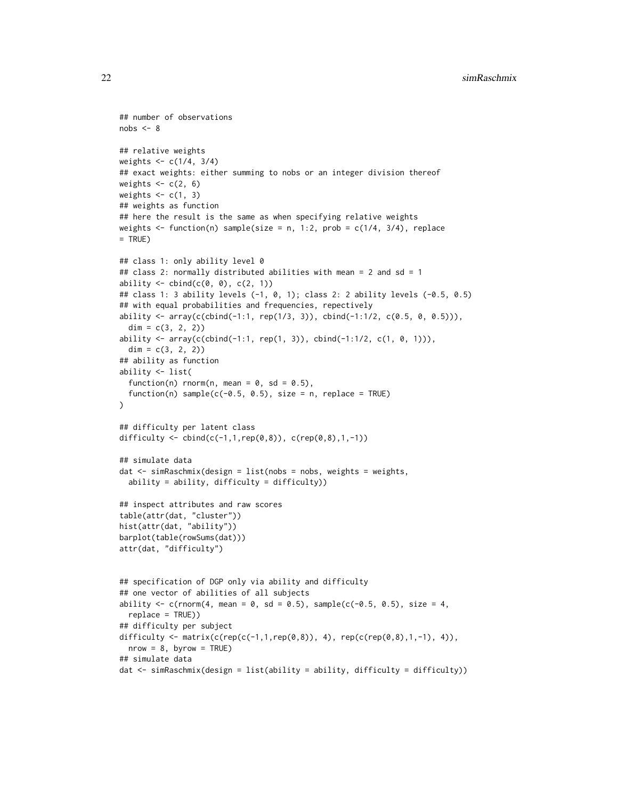```
## number of observations
nobs < -8## relative weights
weights <- c(1/4, 3/4)
## exact weights: either summing to nobs or an integer division thereof
weights <-c(2, 6)weights \leq c(1, 3)
## weights as function
## here the result is the same as when specifying relative weights
weights \leq function(n) sample(size = n, 1:2, prob = c(1/4, 3/4), replace
= TRUE)
## class 1: only ability level 0
## class 2: normally distributed abilities with mean = 2 and sd = 1
ability \le cbind(c(0, 0), c(2, 1))
## class 1: 3 ability levels (-1, 0, 1); class 2: 2 ability levels (-0.5, 0.5)
## with equal probabilities and frequencies, repectively
ability \leq array(c(cbind(-1:1, rep(1/3, 3)), cbind(-1:1/2, c(0.5, 0, 0.5))),
  dim = c(3, 2, 2)ability \leq array(c(cbind(-1:1, rep(1, 3)), cbind(-1:1/2, c(1, 0, 1))),
  dim = c(3, 2, 2)## ability as function
ability <- list(
  function(n) rnorm(n, mean = 0, sd = 0.5),
  function(n) sample(c(-0.5, 0.5), size = n, replace = TRUE)
)
## difficulty per latent class
difficulty <- cbind(c(-1,1, rep(0,8)), c(rep(0,8),1,-1))## simulate data
dat \leq simRaschmix(design = list(nobs = nobs, weights = weights,
  ability = ability, difficulty = difficulty))
## inspect attributes and raw scores
table(attr(dat, "cluster"))
hist(attr(dat, "ability"))
barplot(table(rowSums(dat)))
attr(dat, "difficulty")
## specification of DGP only via ability and difficulty
## one vector of abilities of all subjects
ability \leq c(rnorm(4, mean = 0, sd = 0.5), sample(c(-0.5, 0.5), size = 4,
 replace = TRUE))
## difficulty per subject
difficulty <- matrix(c(rep(c(-1,1,rep(0,8)), 4), rep(c(rep(0,8),1,-1), 4)),
  nrow = 8, byrow = TRUE)
## simulate data
dat <- simRaschmix(design = list(ability = ability, difficulty = difficulty))
```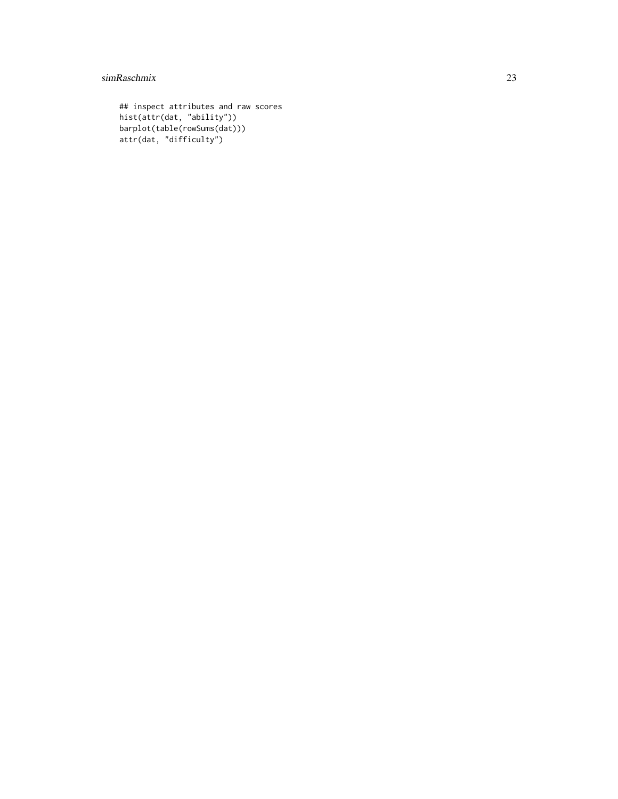#### simRaschmix 23

```
## inspect attributes and raw scores
hist(attr(dat, "ability"))
barplot(table(rowSums(dat)))
attr(dat, "difficulty")
```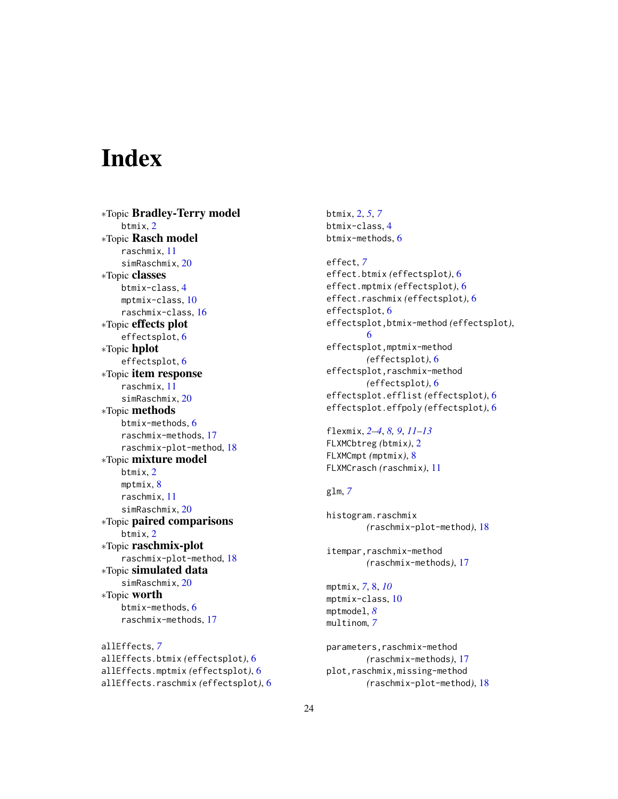# <span id="page-23-0"></span>**Index**

∗Topic Bradley-Terry model btmix, [2](#page-1-0) ∗Topic Rasch model raschmix, [11](#page-10-0) simRaschmix, [20](#page-19-0) ∗Topic classes btmix-class, [4](#page-3-0) mptmix-class, [10](#page-9-0) raschmix-class, [16](#page-15-0) ∗Topic effects plot effectsplot, [6](#page-5-0) ∗Topic hplot effectsplot, [6](#page-5-0) ∗Topic item response raschmix, [11](#page-10-0) simRaschmix, [20](#page-19-0) ∗Topic methods btmix-methods, [6](#page-5-0) raschmix-methods, [17](#page-16-0) raschmix-plot-method, [18](#page-17-0) ∗Topic mixture model btmix, [2](#page-1-0) mptmix, [8](#page-7-0) raschmix, [11](#page-10-0) simRaschmix, [20](#page-19-0) ∗Topic paired comparisons btmix, [2](#page-1-0) ∗Topic raschmix-plot raschmix-plot-method, [18](#page-17-0) ∗Topic simulated data simRaschmix, [20](#page-19-0) ∗Topic worth btmix-methods, [6](#page-5-0) raschmix-methods, [17](#page-16-0)

allEffects, *[7](#page-6-0)* allEffects.btmix *(*effectsplot*)*, [6](#page-5-0) allEffects.mptmix *(*effectsplot*)*, [6](#page-5-0) allEffects.raschmix *(*effectsplot*)*, [6](#page-5-0) btmix, [2,](#page-1-0) *[5](#page-4-0)*, *[7](#page-6-0)* btmix-class, [4](#page-3-0) btmix-methods, [6](#page-5-0)

effect, *[7](#page-6-0)* effect.btmix *(*effectsplot*)*, [6](#page-5-0) effect.mptmix *(*effectsplot*)*, [6](#page-5-0) effect.raschmix *(*effectsplot*)*, [6](#page-5-0) effectsplot, [6](#page-5-0) effectsplot,btmix-method *(*effectsplot*)*, [6](#page-5-0) effectsplot,mptmix-method *(*effectsplot*)*, [6](#page-5-0) effectsplot, raschmix-method *(*effectsplot*)*, [6](#page-5-0) effectsplot.efflist *(*effectsplot*)*, [6](#page-5-0) effectsplot.effpoly *(*effectsplot*)*, [6](#page-5-0)

flexmix, *[2](#page-1-0)[–4](#page-3-0)*, *[8,](#page-7-0) [9](#page-8-0)*, *[11](#page-10-0)[–13](#page-12-0)* FLXMCbtreg *(*btmix*)*, [2](#page-1-0) FLXMCmpt *(*mptmix*)*, [8](#page-7-0) FLXMCrasch *(*raschmix*)*, [11](#page-10-0)

#### glm, *[7](#page-6-0)*

```
histogram.raschmix
        (raschmix-plot-method), 18
```
itempar,raschmix-method *(*raschmix-methods*)*, [17](#page-16-0)

mptmix, *[7](#page-6-0)*, [8,](#page-7-0) *[10](#page-9-0)* mptmix-class, [10](#page-9-0) mptmodel, *[8](#page-7-0)* multinom, *[7](#page-6-0)*

parameters,raschmix-method *(*raschmix-methods*)*, [17](#page-16-0) plot,raschmix,missing-method *(*raschmix-plot-method*)*, [18](#page-17-0)